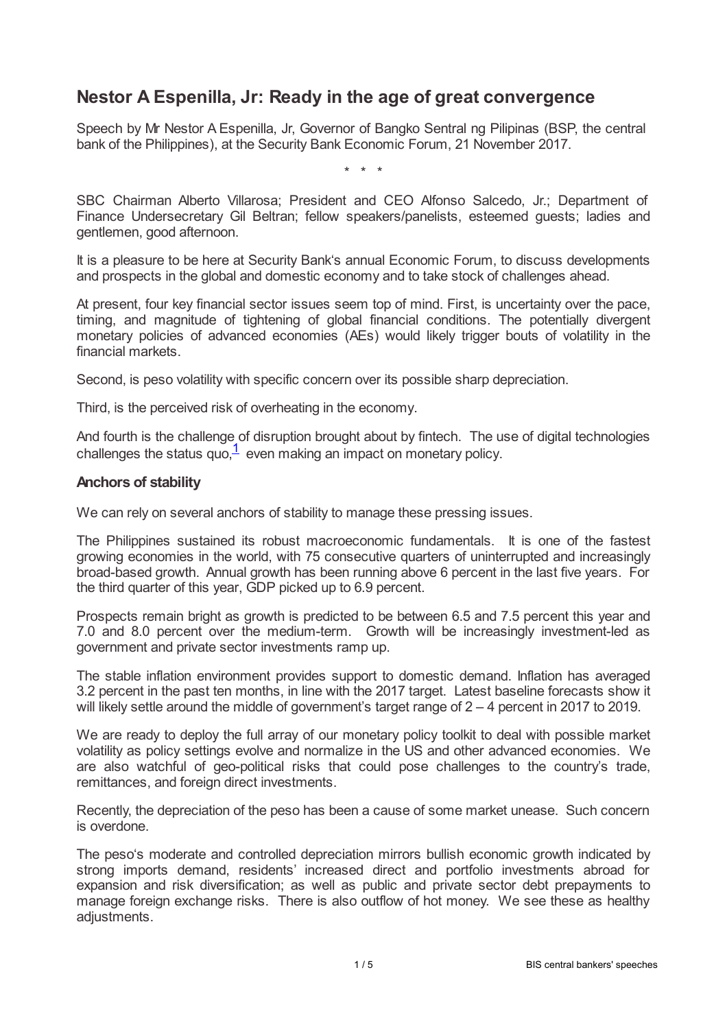# **Nestor A Espenilla, Jr: Ready in the age of great convergence**

Speech by Mr Nestor A Espenilla, Jr, Governor of Bangko Sentral ng Pilipinas (BSP, the central bank of the Philippines), at the Security Bank Economic Forum, 21 November 2017.

\* \* \*

SBC Chairman Alberto Villarosa; President and CEO Alfonso Salcedo, Jr.; Department of Finance Undersecretary Gil Beltran; fellow speakers/panelists, esteemed guests; ladies and gentlemen, good afternoon.

It is a pleasure to be here at Security Bank's annual Economic Forum, to discuss developments and prospects in the global and domestic economy and to take stock of challenges ahead.

At present, four key financial sector issues seem top of mind. First, is uncertainty over the pace, timing, and magnitude of tightening of global financial conditions. The potentially divergent monetary policies of advanced economies (AEs) would likely trigger bouts of volatility in the financial markets.

Second, is peso volatility with specific concern over its possible sharp depreciation.

Third, is the perceived risk of overheating in the economy.

<span id="page-0-0"></span>And fourth is the challenge of disruption brought about by fintech. The use of digital technologies challenges the status quo, $\frac{1}{2}$  $\frac{1}{2}$  $\frac{1}{2}$  even making an impact on monetary policy.

#### **Anchors of stability**

We can rely on several anchors of stability to manage these pressing issues.

The Philippines sustained its robust macroeconomic fundamentals. It is one of the fastest growing economies in the world, with 75 consecutive quarters of uninterrupted and increasingly broad-based growth. Annual growth has been running above 6 percent in the last five years. For the third quarter of this year, GDP picked up to 6.9 percent.

Prospects remain bright as growth is predicted to be between 6.5 and 7.5 percent this year and 7.0 and 8.0 percent over the medium-term. Growth will be increasingly investment-led as government and private sector investments ramp up.

The stable inflation environment provides support to domestic demand. Inflation has averaged 3.2 percent in the past ten months, in line with the 2017 target. Latest baseline forecasts show it will likely settle around the middle of government's target range of  $2 - 4$  percent in 2017 to 2019.

We are ready to deploy the full array of our monetary policy toolkit to deal with possible market volatility as policy settings evolve and normalize in the US and other advanced economies. We are also watchful of geo-political risks that could pose challenges to the country's trade, remittances, and foreign direct investments.

Recently, the depreciation of the peso has been a cause of some market unease. Such concern is overdone.

The peso's moderate and controlled depreciation mirrors bullish economic growth indicated by strong imports demand, residents' increased direct and portfolio investments abroad for expansion and risk diversification; as well as public and private sector debt prepayments to manage foreign exchange risks. There is also outflow of hot money. We see these as healthy adjustments.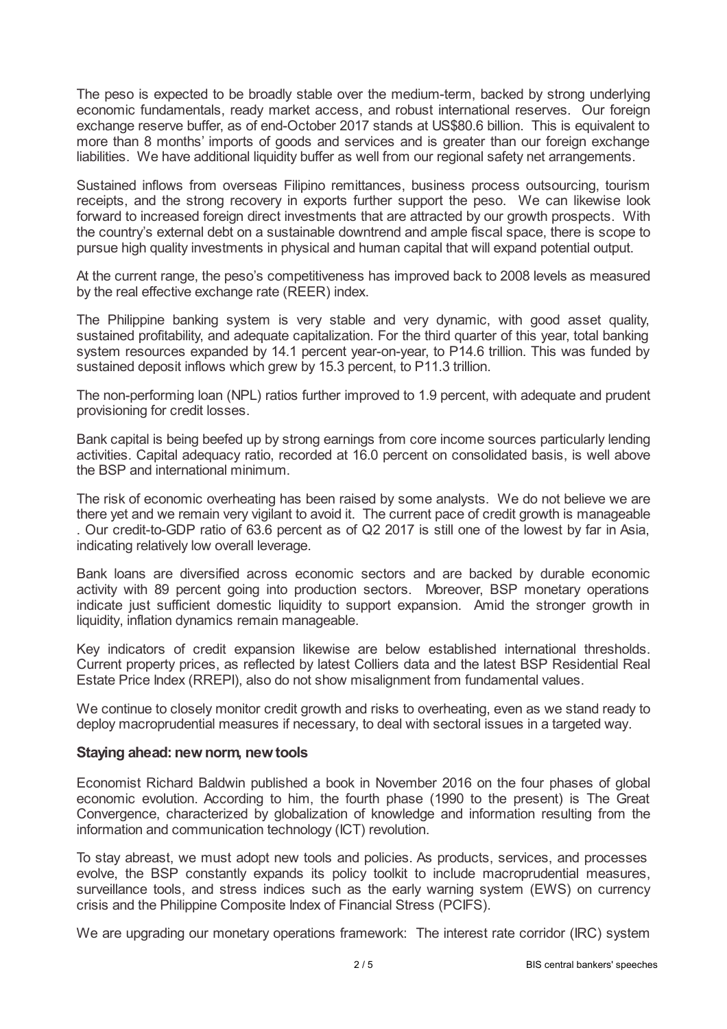The peso is expected to be broadly stable over the medium-term, backed by strong underlying economic fundamentals, ready market access, and robust international reserves. Our foreign exchange reserve buffer, as of end-October 2017 stands at US\$80.6 billion. This is equivalent to more than 8 months' imports of goods and services and is greater than our foreign exchange liabilities. We have additional liquidity buffer as well from our regional safety net arrangements.

Sustained inflows from overseas Filipino remittances, business process outsourcing, tourism receipts, and the strong recovery in exports further support the peso. We can likewise look forward to increased foreign direct investments that are attracted by our growth prospects. With the country's external debt on a sustainable downtrend and ample fiscal space, there is scope to pursue high quality investments in physical and human capital that will expand potential output.

At the current range, the peso's competitiveness has improved back to 2008 levels as measured by the real effective exchange rate (REER) index.

The Philippine banking system is very stable and very dynamic, with good asset quality, sustained profitability, and adequate capitalization. For the third quarter of this year, total banking system resources expanded by 14.1 percent year-on-year, to P14.6 trillion. This was funded by sustained deposit inflows which grew by 15.3 percent, to P11.3 trillion.

The non-performing loan (NPL) ratios further improved to 1.9 percent, with adequate and prudent provisioning for credit losses.

Bank capital is being beefed up by strong earnings from core income sources particularly lending activities. Capital adequacy ratio, recorded at 16.0 percent on consolidated basis, is well above the BSP and international minimum.

The risk of economic overheating has been raised by some analysts. We do not believe we are there yet and we remain very vigilant to avoid it. The current pace of credit growth is manageable . Our credit-to-GDP ratio of 63.6 percent as of Q2 2017 is still one of the lowest by far in Asia, indicating relatively low overall leverage.

Bank loans are diversified across economic sectors and are backed by durable economic activity with 89 percent going into production sectors. Moreover, BSP monetary operations indicate just sufficient domestic liquidity to support expansion. Amid the stronger growth in liquidity, inflation dynamics remain manageable.

Key indicators of credit expansion likewise are below established international thresholds. Current property prices, as reflected by latest Colliers data and the latest BSP Residential Real Estate Price Index (RREPI), also do not show misalignment from fundamental values.

We continue to closely monitor credit growth and risks to overheating, even as we stand ready to deploy macroprudential measures if necessary, to deal with sectoral issues in a targeted way.

#### **Staying ahead: new norm, new tools**

Economist Richard Baldwin published a book in November 2016 on the four phases of global economic evolution. According to him, the fourth phase (1990 to the present) is The Great Convergence, characterized by globalization of knowledge and information resulting from the information and communication technology (ICT) revolution.

To stay abreast, we must adopt new tools and policies. As products, services, and processes evolve, the BSP constantly expands its policy toolkit to include macroprudential measures, surveillance tools, and stress indices such as the early warning system (EWS) on currency crisis and the Philippine Composite Index of Financial Stress (PCIFS).

We are upgrading our monetary operations framework: The interest rate corridor (IRC) system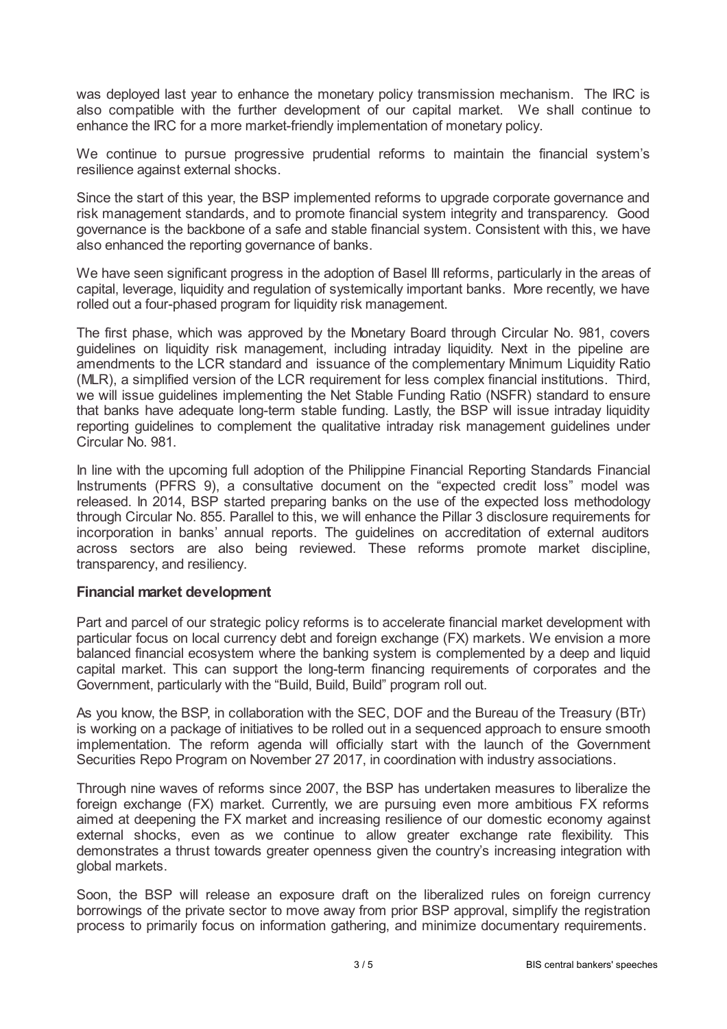was deployed last year to enhance the monetary policy transmission mechanism. The IRC is also compatible with the further development of our capital market. We shall continue to enhance the IRC for a more market-friendly implementation of monetary policy.

We continue to pursue progressive prudential reforms to maintain the financial system's resilience against external shocks.

Since the start of this year, the BSP implemented reforms to upgrade corporate governance and risk management standards, and to promote financial system integrity and transparency. Good governance is the backbone of a safe and stable financial system. Consistent with this, we have also enhanced the reporting governance of banks.

We have seen significant progress in the adoption of Basel III reforms, particularly in the areas of capital, leverage, liquidity and regulation of systemically important banks. More recently, we have rolled out a four-phased program for liquidity risk management.

The first phase, which was approved by the Monetary Board through Circular No. 981, covers guidelines on liquidity risk management, including intraday liquidity. Next in the pipeline are amendments to the LCR standard and issuance of the complementary Minimum Liquidity Ratio (MLR), a simplified version of the LCR requirement for less complex financial institutions. Third, we will issue guidelines implementing the Net Stable Funding Ratio (NSFR) standard to ensure that banks have adequate long-term stable funding. Lastly, the BSP will issue intraday liquidity reporting guidelines to complement the qualitative intraday risk management guidelines under Circular No. 981.

In line with the upcoming full adoption of the Philippine Financial Reporting Standards Financial Instruments (PFRS 9), a consultative document on the "expected credit loss" model was released. In 2014, BSP started preparing banks on the use of the expected loss methodology through Circular No. 855. Parallel to this, we will enhance the Pillar 3 disclosure requirements for incorporation in banks' annual reports. The guidelines on accreditation of external auditors across sectors are also being reviewed. These reforms promote market discipline, transparency, and resiliency.

#### **Financial market development**

Part and parcel of our strategic policy reforms is to accelerate financial market development with particular focus on local currency debt and foreign exchange (FX) markets. We envision a more balanced financial ecosystem where the banking system is complemented by a deep and liquid capital market. This can support the long-term financing requirements of corporates and the Government, particularly with the "Build, Build, Build" program roll out.

As you know, the BSP, in collaboration with the SEC, DOF and the Bureau of the Treasury (BTr) is working on a package of initiatives to be rolled out in a sequenced approach to ensure smooth implementation. The reform agenda will officially start with the launch of the Government Securities Repo Program on November 27 2017, in coordination with industry associations.

Through nine waves of reforms since 2007, the BSP has undertaken measures to liberalize the foreign exchange (FX) market. Currently, we are pursuing even more ambitious FX reforms aimed at deepening the FX market and increasing resilience of our domestic economy against external shocks, even as we continue to allow greater exchange rate flexibility. This demonstrates a thrust towards greater openness given the country's increasing integration with global markets.

Soon, the BSP will release an exposure draft on the liberalized rules on foreign currency borrowings of the private sector to move away from prior BSP approval, simplify the registration process to primarily focus on information gathering, and minimize documentary requirements.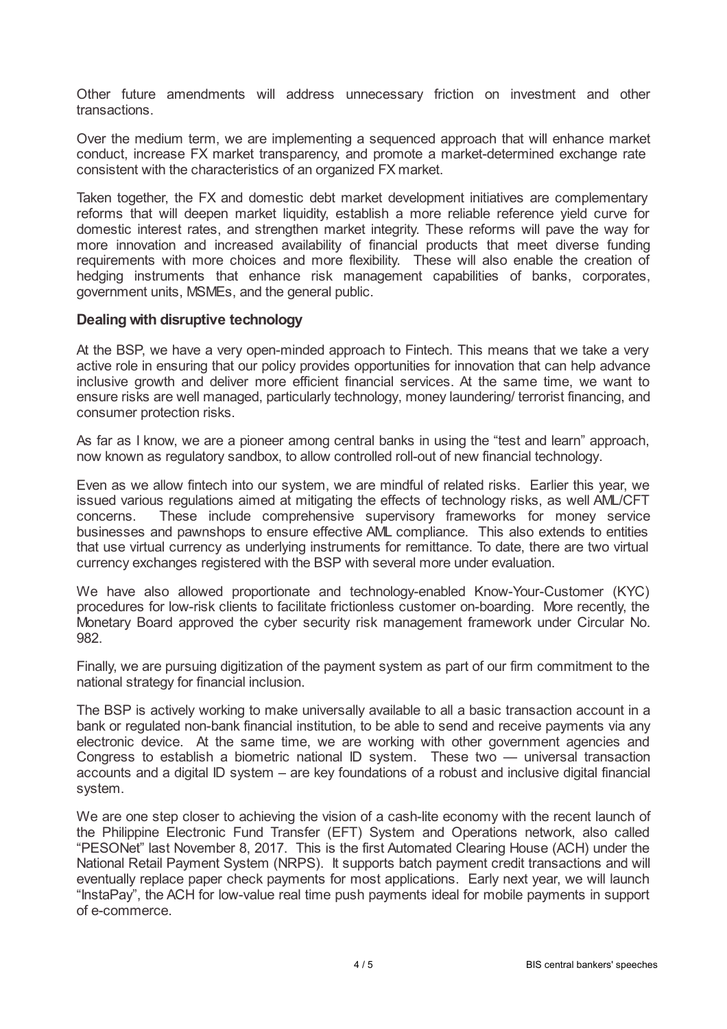Other future amendments will address unnecessary friction on investment and other transactions.

Over the medium term, we are implementing a sequenced approach that will enhance market conduct, increase FX market transparency, and promote a market-determined exchange rate consistent with the characteristics of an organized FX market.

Taken together, the FX and domestic debt market development initiatives are complementary reforms that will deepen market liquidity, establish a more reliable reference yield curve for domestic interest rates, and strengthen market integrity. These reforms will pave the way for more innovation and increased availability of financial products that meet diverse funding requirements with more choices and more flexibility. These will also enable the creation of hedging instruments that enhance risk management capabilities of banks, corporates, government units, MSMEs, and the general public.

### **Dealing with disruptive technology**

At the BSP, we have a very open-minded approach to Fintech. This means that we take a very active role in ensuring that our policy provides opportunities for innovation that can help advance inclusive growth and deliver more efficient financial services. At the same time, we want to ensure risks are well managed, particularly technology, money laundering/ terrorist financing, and consumer protection risks.

As far as I know, we are a pioneer among central banks in using the "test and learn" approach, now known as regulatory sandbox, to allow controlled roll-out of new financial technology.

Even as we allow fintech into our system, we are mindful of related risks. Earlier this year, we issued various regulations aimed at mitigating the effects of technology risks, as well AML/CFT concerns. These include comprehensive supervisory frameworks for money service businesses and pawnshops to ensure effective AML compliance. This also extends to entities that use virtual currency as underlying instruments for remittance. To date, there are two virtual currency exchanges registered with the BSP with several more under evaluation.

We have also allowed proportionate and technology-enabled Know-Your-Customer (KYC) procedures for low-risk clients to facilitate frictionless customer on-boarding. More recently, the Monetary Board approved the cyber security risk management framework under Circular No. 982.

Finally, we are pursuing digitization of the payment system as part of our firm commitment to the national strategy for financial inclusion.

The BSP is actively working to make universally available to all a basic transaction account in a bank or regulated non-bank financial institution, to be able to send and receive payments via any electronic device. At the same time, we are working with other government agencies and Congress to establish a biometric national ID system. These two — universal transaction accounts and a digital ID system – are key foundations of a robust and inclusive digital financial system.

We are one step closer to achieving the vision of a cash-lite economy with the recent launch of the Philippine Electronic Fund Transfer (EFT) System and Operations network, also called "PESONet" last November 8, 2017. This is the first Automated Clearing House (ACH) under the National Retail Payment System (NRPS). It supports batch payment credit transactions and will eventually replace paper check payments for most applications. Early next year, we will launch "InstaPay", the ACH for low-value real time push payments ideal for mobile payments in support of e-commerce.